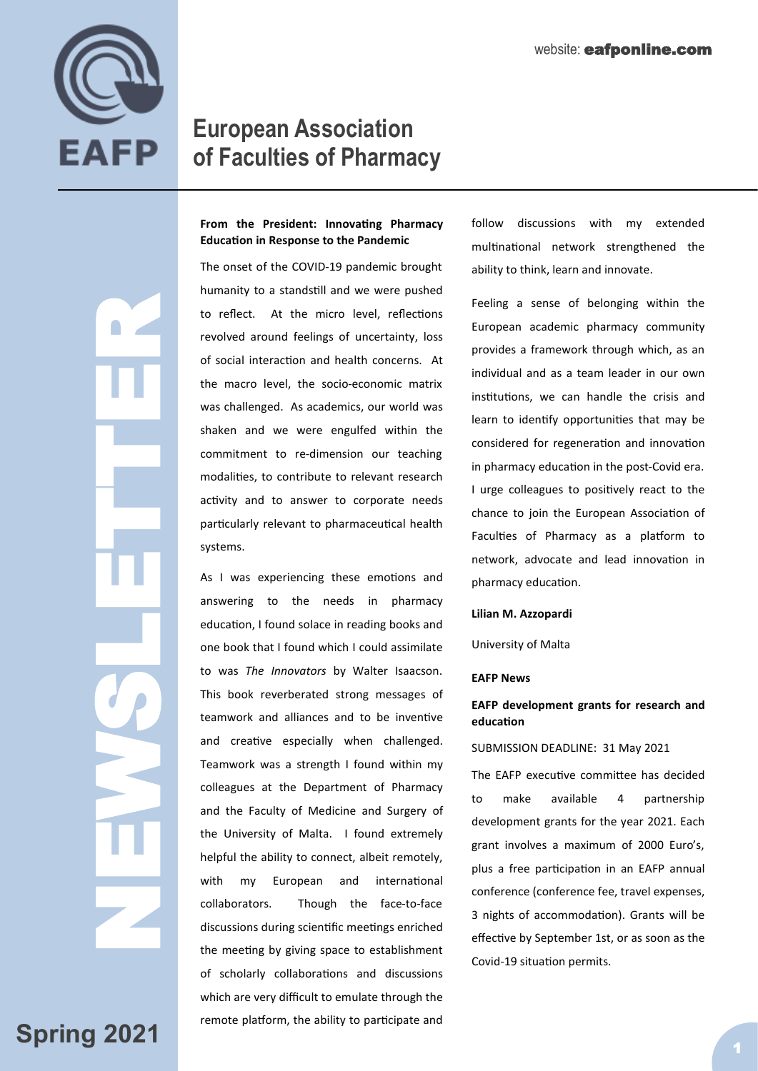

NEWSLETTER<br>NEWSLETTER<br>NEWSLETTER

# **European Association of Faculties of Pharmacy**

## **From the President: Innovating Pharmacy Education in Response to the Pandemic**

The onset of the COVID-19 pandemic brought humanity to a standstill and we were pushed to reflect. At the micro level, reflections revolved around feelings of uncertainty, loss of social interaction and health concerns. At the macro level, the socio-economic matrix was challenged. As academics, our world was shaken and we were engulfed within the commitment to re-dimension our teaching modalities, to contribute to relevant research activity and to answer to corporate needs particularly relevant to pharmaceutical health systems.

As I was experiencing these emotions and answering to the needs in pharmacy education, I found solace in reading books and one book that I found which I could assimilate to was *The Innovators* by Walter Isaacson. This book reverberated strong messages of teamwork and alliances and to be inventive and creative especially when challenged. Teamwork was a strength I found within my colleagues at the Department of Pharmacy and the Faculty of Medicine and Surgery of the University of Malta. I found extremely helpful the ability to connect, albeit remotely, with my European and international collaborators. Though the face-to-face discussions during scientific meetings enriched the meeting by giving space to establishment of scholarly collaborations and discussions which are very difficult to emulate through the remote platform, the ability to participate and

follow discussions with my extended multinational network strengthened the ability to think, learn and innovate.

Feeling a sense of belonging within the European academic pharmacy community provides a framework through which, as an individual and as a team leader in our own institutions, we can handle the crisis and learn to identify opportunities that may be considered for regeneration and innovation in pharmacy education in the post-Covid era. I urge colleagues to positively react to the chance to join the European Association of Faculties of Pharmacy as a platform to network, advocate and lead innovation in pharmacy education.

#### **Lilian M. Azzopardi**

University of Malta

#### **EAFP News**

## **EAFP development grants for research and education**

#### SUBMISSION DEADLINE: 31 May 2021

The EAFP executive committee has decided to make available 4 partnership development grants for the year 2021. Each grant involves a maximum of 2000 Euro's, plus a free participation in an EAFP annual conference (conference fee, travel expenses, 3 nights of accommodation). Grants will be effective by September 1st, or as soon as the Covid-19 situation permits.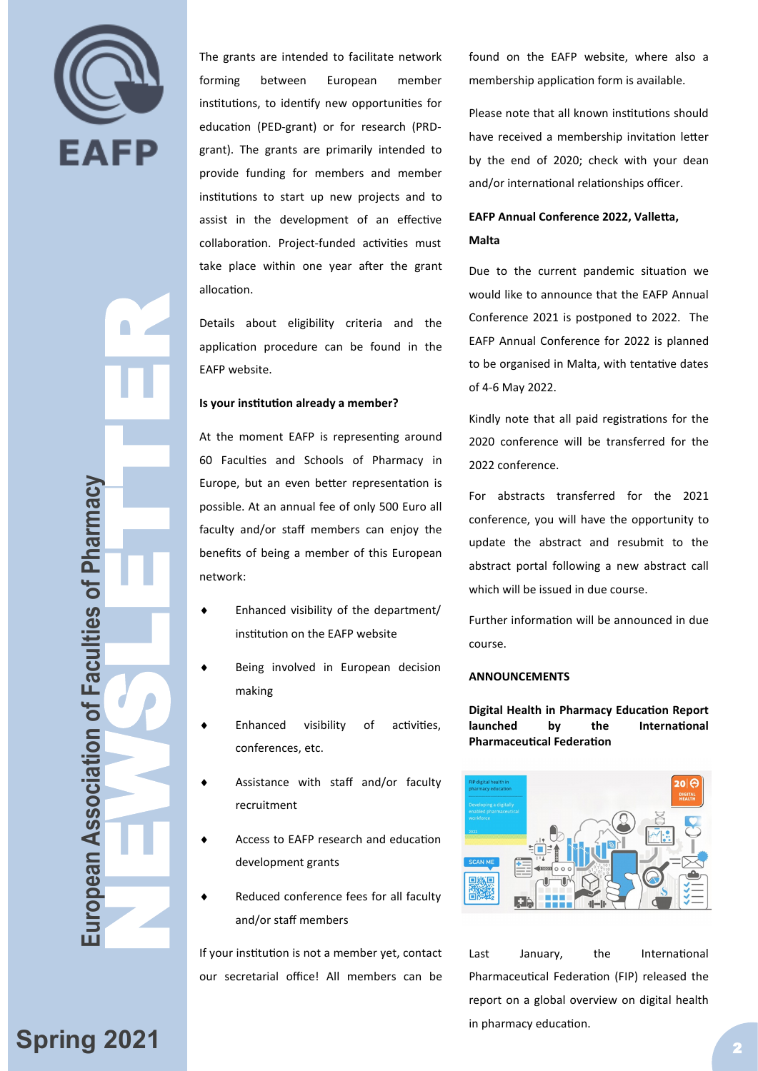

The grants are intended to facilitate network forming between European member institutions, to identify new opportunities for education (PED-grant) or for research (PRDgrant). The grants are primarily intended to provide funding for members and member institutions to start up new projects and to assist in the development of an effective collaboration. Project-funded activities must take place within one year after the grant allocation.

Details about eligibility criteria and the application procedure can be found in the EAFP website.

#### **Is your institution already a member?**

At the moment EAFP is representing around 60 Faculties and Schools of Pharmacy in Europe, but an even better representation is possible. At an annual fee of only 500 Euro all faculty and/or staff members can enjoy the benefits of being a member of this European network:

- Enhanced visibility of the department/ institution on the EAFP website
- Being involved in European decision making
- Enhanced visibility of activities, conferences, etc.
- Assistance with staff and/or faculty recruitment
- Access to EAFP research and education development grants
- Reduced conference fees for all faculty and/or staff members

If your institution is not a member yet, contact our secretarial office! All members can be

found on the EAFP website, where also a membership application form is available.

Please note that all known institutions should have received a membership invitation letter by the end of 2020; check with your dean and/or international relationships officer.

# **EAFP Annual Conference 2022, Valletta, Malta**

Due to the current pandemic situation we would like to announce that the EAFP Annual Conference 2021 is postponed to 2022. The EAFP Annual Conference for 2022 is planned to be organised in Malta, with tentative dates of 4-6 May 2022.

Kindly note that all paid registrations for the 2020 conference will be transferred for the 2022 conference.

For abstracts transferred for the 2021 conference, you will have the opportunity to update the abstract and resubmit to the abstract portal following a new abstract call which will be issued in due course.

Further information will be announced in due course.

#### **ANNOUNCEMENTS**

**Digital Health in Pharmacy Education Report launched by the International Pharmaceutical Federation** 



Last January, the International Pharmaceutical Federation (FIP) released the report on a global overview on digital health in pharmacy education.

**European Association of Faculties of Pharmacy NEWSLETTER (NEWSLETTER SCRIPT)** 

ropean Association of Faculties of Pharmacy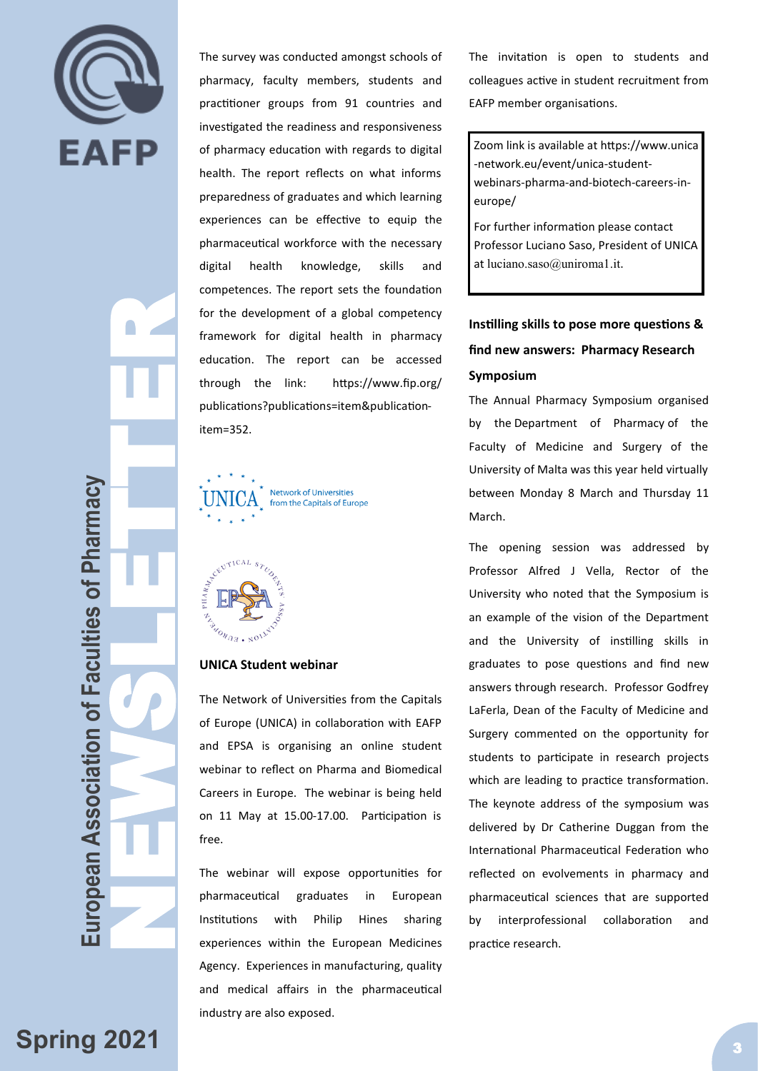

 $\begin{array}{c} \circ \\ \circ \end{array}$ 

for the<br>framework education<br>through<br>publicat<br>item=35<br>item=35<br>item=35<br>item=35<br>item=35<br>item=35<br>item=35<br>item=35<br>item=35<br>item=35<br>item=35<br>item=35<br>item=35<br>item=35<br>item=35<br>item=35<br>item=35<br>item=35<br>item=35<br>item=35<br>item=35<br>item=10<br>i European Association of Faculties of Pharmacy **European Association of Faculties of Pharmacy**

The survey was conducted amongst schools of pharmacy, faculty members, students and practitioner groups from 91 countries and investigated the readiness and responsiveness of pharmacy education with regards to digital health. The report reflects on what informs preparedness of graduates and which learning experiences can be effective to equip the pharmaceutical workforce with the necessary digital health knowledge, skills and competences. The report sets the foundation for the development of a global competency framework for digital health in pharmacy education. The report can be accessed through the link: https://www.fip.org/ publications?publications=item&publicationitem=352.

Network of Universities  $\mathbf{A}_{\mathsf{v}}^{\phantom{\dag}}$  from the Capitals of Europe



## **UNICA Student webinar**

The Network of Universities from the Capitals of Europe (UNICA) in collaboration with EAFP and EPSA is organising an online student webinar to reflect on Pharma and Biomedical Careers in Europe. The webinar is being held on 11 May at 15.00-17.00. Participation is free.

The webinar will expose opportunities for pharmaceutical graduates in European Institutions with Philip Hines sharing experiences within the European Medicines Agency. Experiences in manufacturing, quality and medical affairs in the pharmaceutical industry are also exposed.

The invitation is open to students and colleagues active in student recruitment from EAFP member organisations.

Zoom link is available at https://www.unica -network.eu/event/unica-studentwebinars-pharma-and-biotech-careers-ineurope/

For further information please contact Professor Luciano Saso, President of UNICA at luciano.saso@uniroma1.it.

# **[Instilling skills to pose more questions &](https://www.um.edu.mt/newspoint/news/2021/03/pharmacy-symposium)  [find new answers:](https://www.um.edu.mt/newspoint/news/2021/03/pharmacy-symposium) Pharmacy Research Symposium**

The Annual Pharmacy Symposium organised by the Department of Pharmacy of the Faculty of Medicine and Surgery of the University of Malta was this year held virtually between Monday 8 March and Thursday 11 March.

The opening session was addressed by Professor Alfred J Vella, Rector of the University who noted that the Symposium is an example of the vision of the Department and the University of instilling skills in graduates to pose questions and find new answers through research. Professor Godfrey LaFerla, Dean of the Faculty of Medicine and Surgery commented on the opportunity for students to participate in research projects which are leading to practice transformation. The keynote address of the symposium was delivered by Dr Catherine Duggan from the International Pharmaceutical Federation who reflected on evolvements in pharmacy and pharmaceutical sciences that are supported by interprofessional collaboration and practice research.

**Spring 2021** 3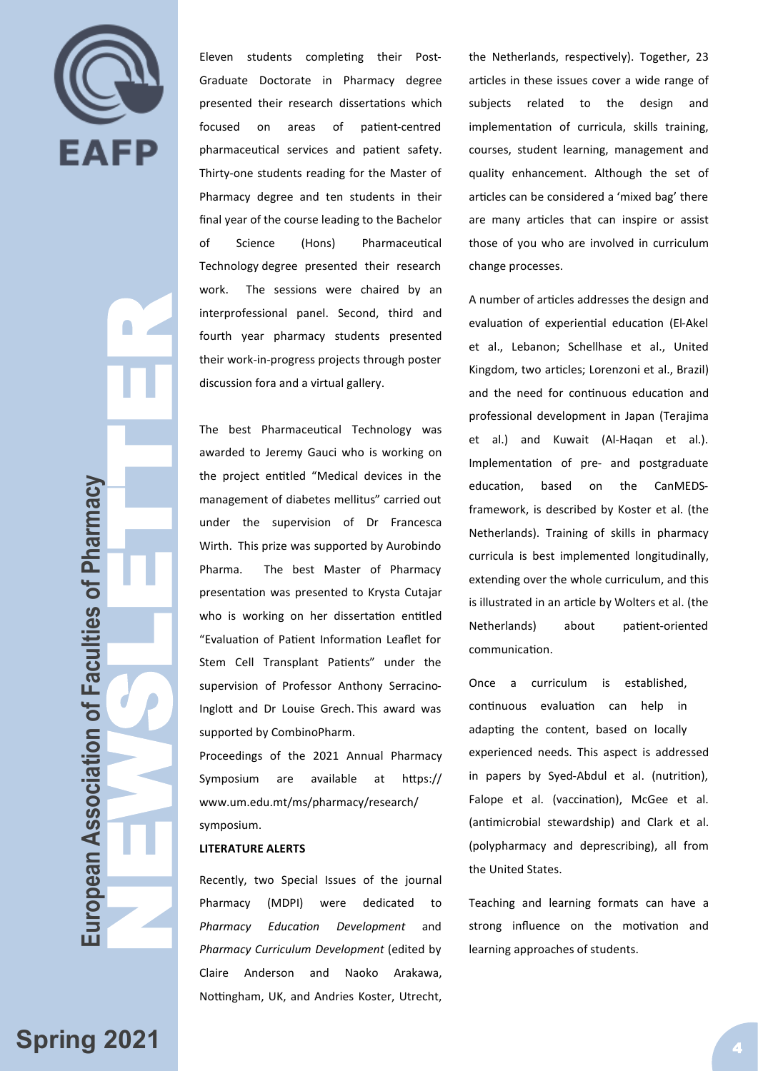

J.

interprof<br>
fourth<br>
their with<br>
discussi<br>
The bit<br>
awarde<br>
the prof<br>
manage<br>
under<br>
with.<br>
Pharma<br>
present<br>
support<br>
Froceed<br>
Sympos<br>
www.u<br>
sympos<br>
LITERA<br>
Pharma<br>
Proceed<br>
Sympos<br>
Musula<br>
Stem (<br>
Sympos<br>
Musula<br>
Proceed<br> uropean Association of Faculties of Pharmacy **European Association of Faculties of Pharmacy**

Eleven students completing their Post-Graduate Doctorate in Pharmacy degree presented their research dissertations which focused on areas of patient-centred pharmaceutical services and patient safety. Thirty-one students reading for the Master of Pharmacy degree and ten students in their final year of the course leading to the Bachelor of Science (Hons) Pharmaceutical Technology degree presented their research work. The sessions were chaired by an interprofessional panel. Second, third and fourth year pharmacy students presented their work-in-progress projects through poster discussion fora and a virtual gallery.

The best Pharmaceutical Technology was awarded to Jeremy Gauci who is working on the project entitled "Medical devices in the management of diabetes mellitus" carried out under the supervision of Dr Francesca Wirth. This prize was supported by Aurobindo Pharma. The best Master of Pharmacy presentation was presented to Krysta Cutajar who is working on her dissertation entitled "Evaluation of Patient Information Leaflet for Stem Cell Transplant Patients" under the supervision of Professor Anthony Serracino-Inglott and Dr Louise Grech. This award was supported by CombinoPharm.

Proceedings of the 2021 Annual Pharmacy Symposium are available at https:// www.um.edu.mt/ms/pharmacy/research/ symposium.

#### **LITERATURE ALERTS**

Recently, two Special Issues of the journal Pharmacy (MDPI) were dedicated to *Pharmacy Education Development* and *Pharmacy Curriculum Development* (edited by Claire Anderson and Naoko Arakawa, Nottingham, UK, and Andries Koster, Utrecht,

the Netherlands, respectively). Together, 23 articles in these issues cover a wide range of subjects related to the design and implementation of curricula, skills training, courses, student learning, management and quality enhancement. Although the set of articles can be considered a 'mixed bag' there are many articles that can inspire or assist those of you who are involved in curriculum change processes.

A number of articles addresses the design and evaluation of experiential education (El-Akel et al., Lebanon; Schellhase et al., United Kingdom, two articles; Lorenzoni et al., Brazil) and the need for continuous education and professional development in Japan (Terajima et al.) and Kuwait (Al-Haqan et al.). Implementation of pre- and postgraduate education, based on the CanMEDSframework, is described by Koster et al. (the Netherlands). Training of skills in pharmacy curricula is best implemented longitudinally, extending over the whole curriculum, and this is illustrated in an article by Wolters et al. (the Netherlands) about patient-oriented communication.

Once a curriculum is established, continuous evaluation can help in adapting the content, based on locally experienced needs. This aspect is addressed in papers by Syed-Abdul et al. (nutrition), Falope et al. (vaccination), McGee et al. (antimicrobial stewardship) and Clark et al. (polypharmacy and deprescribing), all from the United States.

Teaching and learning formats can have a strong influence on the motivation and learning approaches of students.

**Spring 2021**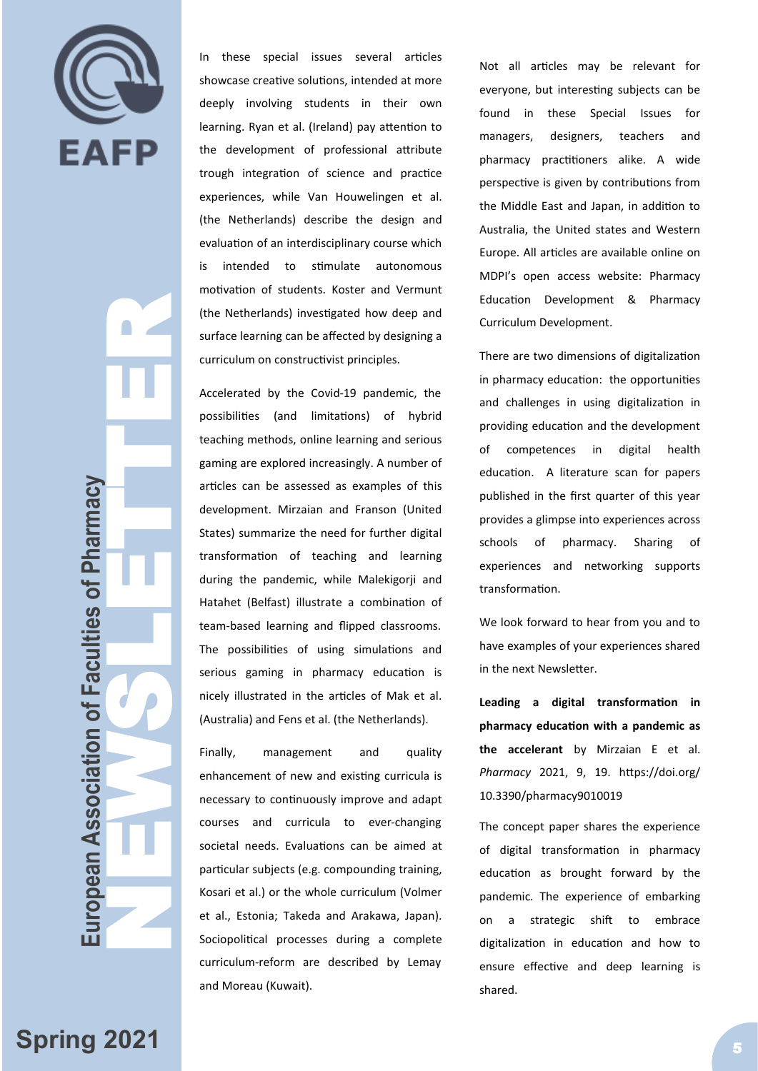

**European Association of Faculties of Pharmacy NEWSLETTER (NEWSLETTER SCRIPTIFIED)**  $\bigcap$ uropean Association of Faculties of Pharmacy

In these special issues several articles showcase creative solutions, intended at more deeply involving students in their own learning. Ryan et al. (Ireland) pay attention to the development of professional attribute trough integration of science and practice experiences, while Van Houwelingen et al. (the Netherlands) describe the design and evaluation of an interdisciplinary course which is intended to stimulate autonomous motivation of students. Koster and Vermunt (the Netherlands) investigated how deep and surface learning can be affected by designing a curriculum on constructivist principles.

Accelerated by the Covid -19 pandemic, the possibilities (and limitations) of hybrid teaching methods, online learning and serious gaming are explored increasingly. A number of articles can be assessed as examples of this development. Mirzaian and Franson (United States) summarize the need for further digital transformation of teaching and learning during the pandemic, while Malekigorji and Hatahet (Belfast) illustrate a combination of team -based learning and flipped classrooms. The possibilities of using simulations and serious gaming in pharmacy education is nicely illustrated in the articles of Mak et al. (Australia) and Fens et al. (the Netherlands).

Finally, management and quality enhancement of new and existing curricula is necessary to continuously improve and adapt courses and curricula to ever -changing societal needs. Evaluations can be aimed at particular subjects (e.g. compounding training, Kosari et al.) or the whole curriculum (Volmer et al., Estonia; Takeda and Arakawa, Japan). Sociopolitical processes during a complete curriculum -reform are described by Lemay and Moreau (Kuwait).

Not all articles may be relevant for everyone, but interesting subjects can be found in these Special Issues for managers, designers, teachers and pharmacy practitioners alike. A wide perspective is given by contributions from the Middle East and Japan, in addition to Australia, the United states and Western Europe. All articles are available online on MDPI 's open access website: [Pharmacy](https://www.mdpi.com/journal/pharmacy/special_issues/Pharmacy_Education_Development)  [Education Development](https://www.mdpi.com/journal/pharmacy/special_issues/Pharmacy_Education_Development) & [Pharmacy](https://www.mdpi.com/journal/pharmacy/special_issues/Pharmacy_Curriculum_Development)  [Curriculum Development](https://www.mdpi.com/journal/pharmacy/special_issues/Pharmacy_Curriculum_Development) .

There are two dimensions of digitalization in pharmacy education: the opportunities and challenges in using digitalization in providing education and the development of competences in digital health education. A literature scan for papers published in the first quarter of this year provides a glimpse into experiences across schools of pharmacy. Sharing of experiences and networking supports transformation.

We look forward to hear from you and to have examples of your experiences shared in the next Newsletter.

**Leading a digital transformation in pharmacy education with a pandemic as the accelerant** by Mirzaian E et al. *Pharmacy* 2021, 9, 19. https://doi.org/ 10.3390/pharmacy9010019

The concept paper shares the experience of digital transformation in pharmacy education as brought forward by the pandemic. The experience of embarking on a strategic shift to embrace digitalization in education and how to ensure effective and deep learning is shared.

# **Spring 2021**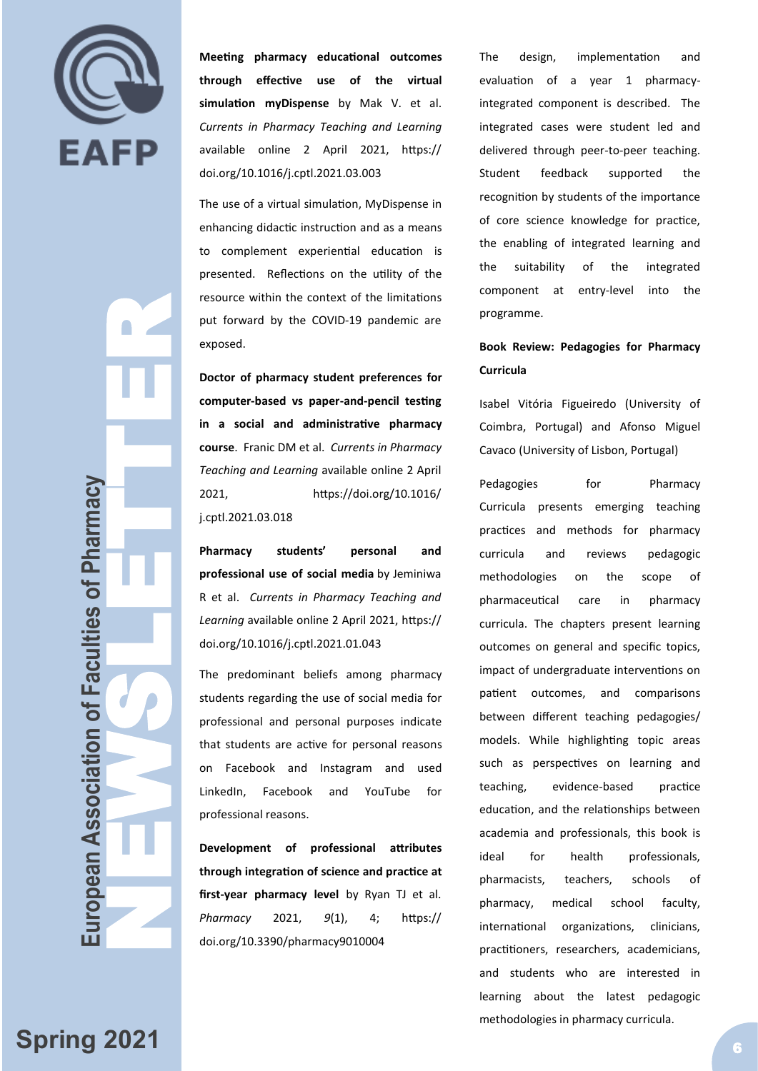

 $\bigcap$ 

**Meeting pharmacy educational outcomes through effective use of the virtual simulation myDispense** by Mak V. et al. *Currents in Pharmacy Teaching and Learning* available online 2 April 2021, [https://](https://doi.org/10.1016/j.cptl.2021.03.003) [doi.org/10.1016/j.cptl.2021.03.003](https://doi.org/10.1016/j.cptl.2021.03.003)

The use of a virtual simulation, MyDispense in enhancing didactic instruction and as a means to complement experiential education is presented. Reflections on the utility of the resource within the context of the limitations put forward by the COVID -19 pandemic are exposed.

**European Association of Faculties of Pharmacy NEWSLETTER (NEWSLETTER SCRIPTIFIED) Doctor of pharmacy student preferences for computer -based vs paper -and -pencil testing in a social and administrative pharmacy course**. Franic DM et al. *Currents in Pharmacy Teaching and Learning* available online 2 April 2021, [https://doi.org/10.1016/](https://doi.org/10.1016/j.cptl.2021.03.018) [j.cptl.2021.03.018](https://doi.org/10.1016/j.cptl.2021.03.018)

**Pharmacy students' personal and professional use of social media** by Jeminiwa R et al. *Currents in Pharmacy Teaching and Learning* available online 2 April 2021, [https://](https://doi.org/10.1016/j.cptl.2021.01.043) [doi.org/10.1016/j.cptl.2021.01.043](https://doi.org/10.1016/j.cptl.2021.01.043)

The predominant beliefs among pharmacy students regarding the use of social media for professional and personal purposes indicate that students are active for personal reasons on Facebook and Instagram and used LinkedIn, Facebook and YouTube for professional reasons.

**Development of professional attributes through integration of science and practice at first -year pharmacy level** by Ryan TJ et al. *Pharmacy* 2021, *9*(1), 4; [https://](https://doi.org/10.3390/pharmacy9010004) [doi.org/10.3390/pharmacy9010004](https://doi.org/10.3390/pharmacy9010004)

The design, implementation and evaluation of a year 1 pharmacy integrated component is described. The integrated cases were student led and delivered through peer -to -peer teaching. Student feedback supported the recognition by students of the importance of core science knowledge for practice, the enabling of integrated learning and the suitability of the integrated component at entry-level into the programme.

# **Book Review: Pedagogies for Pharmacy Curricula**

Isabel Vitória Figueiredo (University of Coimbra, Portugal) and Afonso Miguel Cavaco (University of Lisbon, Portugal)

Pedagogies for Pharmacy Curricula presents emerging teaching practices and methods for pharmacy curricula and reviews pedagogic methodologies on the scope of pharmaceutical care in pharmacy curricula. The chapters present learning outcomes on general and specific topics, impact of undergraduate interventions on patient outcomes, and comparisons between different teaching pedagogies/ models. While highlighting topic areas such as perspectives on learning and teaching, evidence practice education, and the relationships between academia and professionals, this book is ideal for health professionals, pharmacists, teachers, schools of pharmacy, medical school faculty, international organizations, clinicians, practitioners, researchers, academicians, and students who are interested in learning about the latest pedagogic methodologies in pharmacy curricula.

uropean Association of Faculties of Pharmacy